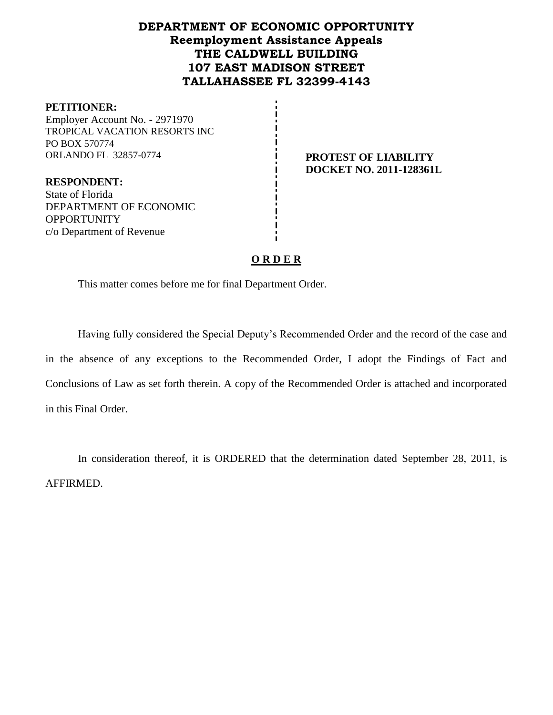## **DEPARTMENT OF ECONOMIC OPPORTUNITY Reemployment Assistance Appeals THE CALDWELL BUILDING 107 EAST MADISON STREET TALLAHASSEE FL 32399-4143**

#### **PETITIONER:**

Employer Account No. - 2971970 TROPICAL VACATION RESORTS INC PO BOX 570774 ORLANDO FL 32857-0774 **PROTEST OF LIABILITY** 

**DOCKET NO. 2011-128361L**

**RESPONDENT:** State of Florida DEPARTMENT OF ECONOMIC **OPPORTUNITY** c/o Department of Revenue

## **O R D E R**

This matter comes before me for final Department Order.

Having fully considered the Special Deputy's Recommended Order and the record of the case and in the absence of any exceptions to the Recommended Order, I adopt the Findings of Fact and Conclusions of Law as set forth therein. A copy of the Recommended Order is attached and incorporated in this Final Order.

In consideration thereof, it is ORDERED that the determination dated September 28, 2011, is AFFIRMED.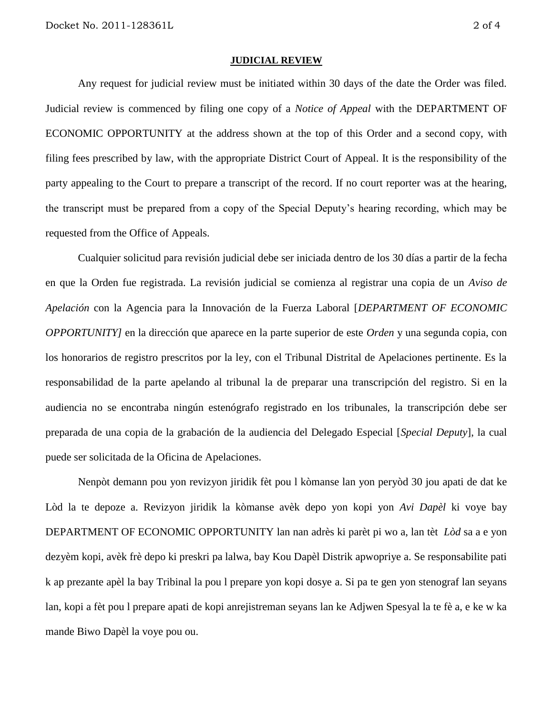#### **JUDICIAL REVIEW**

Any request for judicial review must be initiated within 30 days of the date the Order was filed. Judicial review is commenced by filing one copy of a *Notice of Appeal* with the DEPARTMENT OF ECONOMIC OPPORTUNITY at the address shown at the top of this Order and a second copy, with filing fees prescribed by law, with the appropriate District Court of Appeal. It is the responsibility of the party appealing to the Court to prepare a transcript of the record. If no court reporter was at the hearing, the transcript must be prepared from a copy of the Special Deputy's hearing recording, which may be requested from the Office of Appeals.

Cualquier solicitud para revisión judicial debe ser iniciada dentro de los 30 días a partir de la fecha en que la Orden fue registrada. La revisión judicial se comienza al registrar una copia de un *Aviso de Apelación* con la Agencia para la Innovación de la Fuerza Laboral [*DEPARTMENT OF ECONOMIC OPPORTUNITY]* en la dirección que aparece en la parte superior de este *Orden* y una segunda copia, con los honorarios de registro prescritos por la ley, con el Tribunal Distrital de Apelaciones pertinente. Es la responsabilidad de la parte apelando al tribunal la de preparar una transcripción del registro. Si en la audiencia no se encontraba ningún estenógrafo registrado en los tribunales, la transcripción debe ser preparada de una copia de la grabación de la audiencia del Delegado Especial [*Special Deputy*], la cual puede ser solicitada de la Oficina de Apelaciones.

Nenpòt demann pou yon revizyon jiridik fèt pou l kòmanse lan yon peryòd 30 jou apati de dat ke Lòd la te depoze a. Revizyon jiridik la kòmanse avèk depo yon kopi yon *Avi Dapèl* ki voye bay DEPARTMENT OF ECONOMIC OPPORTUNITY lan nan adrès ki parèt pi wo a, lan tèt *Lòd* sa a e yon dezyèm kopi, avèk frè depo ki preskri pa lalwa, bay Kou Dapèl Distrik apwopriye a. Se responsabilite pati k ap prezante apèl la bay Tribinal la pou l prepare yon kopi dosye a. Si pa te gen yon stenograf lan seyans lan, kopi a fèt pou l prepare apati de kopi anrejistreman seyans lan ke Adjwen Spesyal la te fè a, e ke w ka mande Biwo Dapèl la voye pou ou.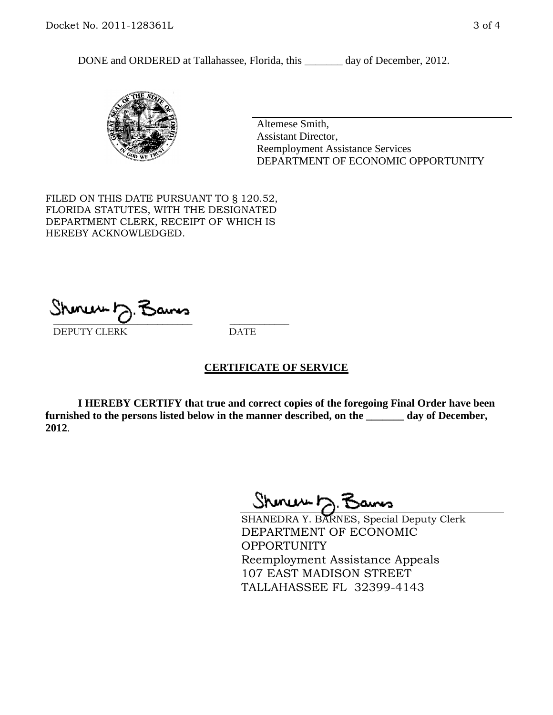DONE and ORDERED at Tallahassee, Florida, this \_\_\_\_\_\_\_ day of December, 2012.



Altemese Smith, Assistant Director, Reemployment Assistance Services DEPARTMENT OF ECONOMIC OPPORTUNITY

FILED ON THIS DATE PURSUANT TO § 120.52, FLORIDA STATUTES, WITH THE DESIGNATED DEPARTMENT CLERK, RECEIPT OF WHICH IS HEREBY ACKNOWLEDGED.

 $\overline{\phantom{a}}$  ,  $\overline{\phantom{a}}$  ,  $\overline{\phantom{a}}$  ,  $\overline{\phantom{a}}$  ,  $\overline{\phantom{a}}$  ,  $\overline{\phantom{a}}$  ,  $\overline{\phantom{a}}$  ,  $\overline{\phantom{a}}$ DEPUTY CLERK DATE

### **CERTIFICATE OF SERVICE**

**I HEREBY CERTIFY that true and correct copies of the foregoing Final Order have been furnished to the persons listed below in the manner described, on the \_\_\_\_\_\_\_ day of December, 2012**.

Sheren J. Bams

SHANEDRA Y. BARNES, Special Deputy Clerk DEPARTMENT OF ECONOMIC OPPORTUNITY Reemployment Assistance Appeals 107 EAST MADISON STREET TALLAHASSEE FL 32399-4143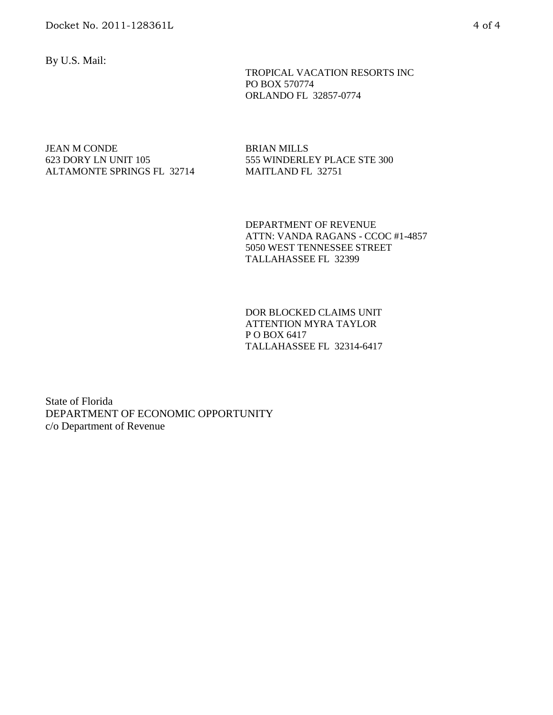By U.S. Mail:

 TROPICAL VACATION RESORTS INC PO BOX 570774 ORLANDO FL 32857-0774

#### JEAN M CONDE 623 DORY LN UNIT 105 ALTAMONTE SPRINGS FL 32714

BRIAN MILLS 555 WINDERLEY PLACE STE 300 MAITLAND FL 32751

DEPARTMENT OF REVENUE ATTN: VANDA RAGANS - CCOC #1-4857 5050 WEST TENNESSEE STREET TALLAHASSEE FL 32399

DOR BLOCKED CLAIMS UNIT ATTENTION MYRA TAYLOR P O BOX 6417 TALLAHASSEE FL 32314-6417

State of Florida DEPARTMENT OF ECONOMIC OPPORTUNITY c/o Department of Revenue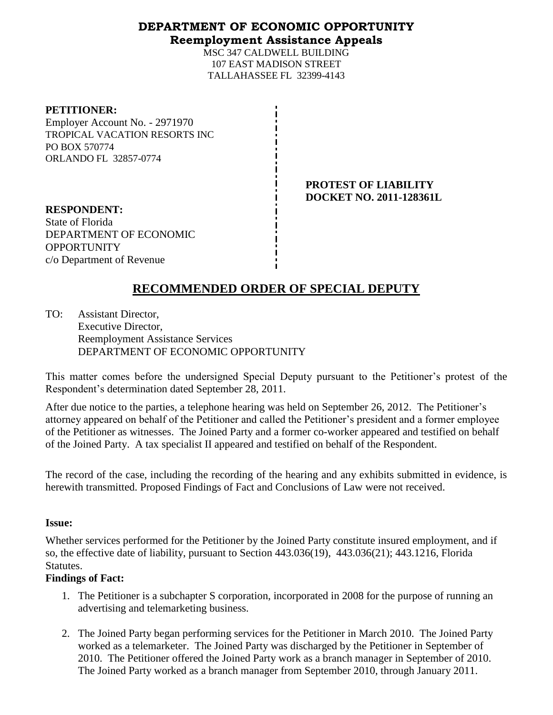### **DEPARTMENT OF ECONOMIC OPPORTUNITY Reemployment Assistance Appeals**

MSC 347 CALDWELL BUILDING 107 EAST MADISON STREET TALLAHASSEE FL 32399-4143

#### **PETITIONER:**

Employer Account No. - 2971970 TROPICAL VACATION RESORTS INC PO BOX 570774 ORLANDO FL 32857-0774

> **PROTEST OF LIABILITY DOCKET NO. 2011-128361L**

**RESPONDENT:** State of Florida DEPARTMENT OF ECONOMIC OPPORTUNITY c/o Department of Revenue

# **RECOMMENDED ORDER OF SPECIAL DEPUTY**

TO: Assistant Director, Executive Director, Reemployment Assistance Services DEPARTMENT OF ECONOMIC OPPORTUNITY

This matter comes before the undersigned Special Deputy pursuant to the Petitioner's protest of the Respondent's determination dated September 28, 2011.

After due notice to the parties, a telephone hearing was held on September 26, 2012. The Petitioner's attorney appeared on behalf of the Petitioner and called the Petitioner's president and a former employee of the Petitioner as witnesses. The Joined Party and a former co-worker appeared and testified on behalf of the Joined Party. A tax specialist II appeared and testified on behalf of the Respondent.

The record of the case, including the recording of the hearing and any exhibits submitted in evidence, is herewith transmitted. Proposed Findings of Fact and Conclusions of Law were not received.

### **Issue:**

Whether services performed for the Petitioner by the Joined Party constitute insured employment, and if so, the effective date of liability, pursuant to Section 443.036(19), 443.036(21); 443.1216, Florida Statutes.

### **Findings of Fact:**

- 1. The Petitioner is a subchapter S corporation, incorporated in 2008 for the purpose of running an advertising and telemarketing business.
- 2. The Joined Party began performing services for the Petitioner in March 2010. The Joined Party worked as a telemarketer. The Joined Party was discharged by the Petitioner in September of 2010. The Petitioner offered the Joined Party work as a branch manager in September of 2010. The Joined Party worked as a branch manager from September 2010, through January 2011.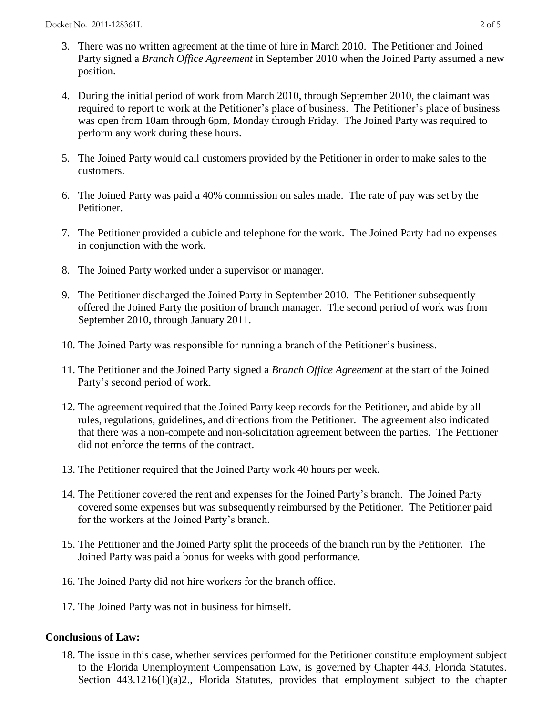- 3. There was no written agreement at the time of hire in March 2010. The Petitioner and Joined Party signed a *Branch Office Agreement* in September 2010 when the Joined Party assumed a new position.
- 4. During the initial period of work from March 2010, through September 2010, the claimant was required to report to work at the Petitioner's place of business. The Petitioner's place of business was open from 10am through 6pm, Monday through Friday. The Joined Party was required to perform any work during these hours.
- 5. The Joined Party would call customers provided by the Petitioner in order to make sales to the customers.
- 6. The Joined Party was paid a 40% commission on sales made. The rate of pay was set by the Petitioner.
- 7. The Petitioner provided a cubicle and telephone for the work. The Joined Party had no expenses in conjunction with the work.
- 8. The Joined Party worked under a supervisor or manager.
- 9. The Petitioner discharged the Joined Party in September 2010. The Petitioner subsequently offered the Joined Party the position of branch manager. The second period of work was from September 2010, through January 2011.
- 10. The Joined Party was responsible for running a branch of the Petitioner's business.
- 11. The Petitioner and the Joined Party signed a *Branch Office Agreement* at the start of the Joined Party's second period of work.
- 12. The agreement required that the Joined Party keep records for the Petitioner, and abide by all rules, regulations, guidelines, and directions from the Petitioner. The agreement also indicated that there was a non-compete and non-solicitation agreement between the parties. The Petitioner did not enforce the terms of the contract.
- 13. The Petitioner required that the Joined Party work 40 hours per week.
- 14. The Petitioner covered the rent and expenses for the Joined Party's branch. The Joined Party covered some expenses but was subsequently reimbursed by the Petitioner. The Petitioner paid for the workers at the Joined Party's branch.
- 15. The Petitioner and the Joined Party split the proceeds of the branch run by the Petitioner. The Joined Party was paid a bonus for weeks with good performance.
- 16. The Joined Party did not hire workers for the branch office.
- 17. The Joined Party was not in business for himself.

### **Conclusions of Law:**

18. The issue in this case, whether services performed for the Petitioner constitute employment subject to the Florida Unemployment Compensation Law, is governed by Chapter 443, Florida Statutes. Section 443.1216(1)(a)2., Florida Statutes, provides that employment subject to the chapter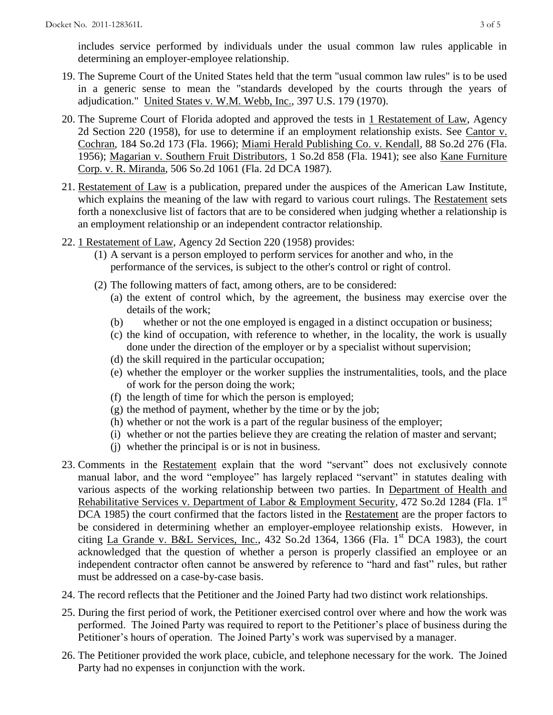includes service performed by individuals under the usual common law rules applicable in determining an employer-employee relationship.

- 19. The Supreme Court of the United States held that the term "usual common law rules" is to be used in a generic sense to mean the "standards developed by the courts through the years of adjudication." United States v. W.M. Webb, Inc., 397 U.S. 179 (1970).
- 20. The Supreme Court of Florida adopted and approved the tests in 1 Restatement of Law, Agency 2d Section 220 (1958), for use to determine if an employment relationship exists. See Cantor v. Cochran, 184 So.2d 173 (Fla. 1966); Miami Herald Publishing Co. v. Kendall, 88 So.2d 276 (Fla. 1956); Magarian v. Southern Fruit Distributors, 1 So.2d 858 (Fla. 1941); see also Kane Furniture Corp. v. R. Miranda, 506 So.2d 1061 (Fla. 2d DCA 1987).
- 21. Restatement of Law is a publication, prepared under the auspices of the American Law Institute, which explains the meaning of the law with regard to various court rulings. The Restatement sets forth a nonexclusive list of factors that are to be considered when judging whether a relationship is an employment relationship or an independent contractor relationship.
- 22. 1 Restatement of Law, Agency 2d Section 220 (1958) provides:
	- (1) A servant is a person employed to perform services for another and who, in the performance of the services, is subject to the other's control or right of control.
	- (2) The following matters of fact, among others, are to be considered:
		- (a) the extent of control which, by the agreement, the business may exercise over the details of the work;
		- (b) whether or not the one employed is engaged in a distinct occupation or business;
		- (c) the kind of occupation, with reference to whether, in the locality, the work is usually done under the direction of the employer or by a specialist without supervision;
		- (d) the skill required in the particular occupation;
		- (e) whether the employer or the worker supplies the instrumentalities, tools, and the place of work for the person doing the work;
		- (f) the length of time for which the person is employed;
		- $(g)$  the method of payment, whether by the time or by the job;
		- (h) whether or not the work is a part of the regular business of the employer;
		- (i) whether or not the parties believe they are creating the relation of master and servant;
		- (j) whether the principal is or is not in business.
- 23. Comments in the Restatement explain that the word "servant" does not exclusively connote manual labor, and the word "employee" has largely replaced "servant" in statutes dealing with various aspects of the working relationship between two parties. In Department of Health and Rehabilitative Services v. Department of Labor & Employment Security, 472 So.2d 1284 (Fla. 1<sup>st</sup> DCA 1985) the court confirmed that the factors listed in the Restatement are the proper factors to be considered in determining whether an employer-employee relationship exists. However, in citing La Grande v. B&L Services, Inc., 432 So.2d 1364, 1366 (Fla. 1<sup>st</sup> DCA 1983), the court acknowledged that the question of whether a person is properly classified an employee or an independent contractor often cannot be answered by reference to "hard and fast" rules, but rather must be addressed on a case-by-case basis.
- 24. The record reflects that the Petitioner and the Joined Party had two distinct work relationships.
- 25. During the first period of work, the Petitioner exercised control over where and how the work was performed. The Joined Party was required to report to the Petitioner's place of business during the Petitioner's hours of operation. The Joined Party's work was supervised by a manager.
- 26. The Petitioner provided the work place, cubicle, and telephone necessary for the work. The Joined Party had no expenses in conjunction with the work.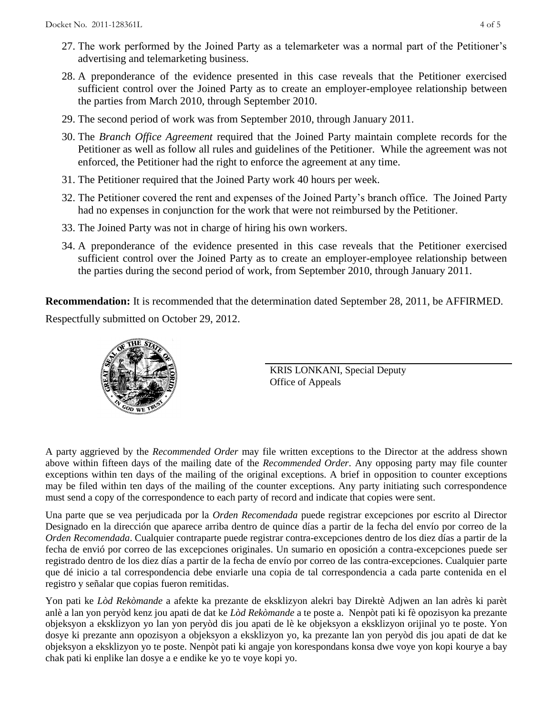- 27. The work performed by the Joined Party as a telemarketer was a normal part of the Petitioner's advertising and telemarketing business.
- 28. A preponderance of the evidence presented in this case reveals that the Petitioner exercised sufficient control over the Joined Party as to create an employer-employee relationship between the parties from March 2010, through September 2010.
- 29. The second period of work was from September 2010, through January 2011.
- 30. The *Branch Office Agreement* required that the Joined Party maintain complete records for the Petitioner as well as follow all rules and guidelines of the Petitioner. While the agreement was not enforced, the Petitioner had the right to enforce the agreement at any time.
- 31. The Petitioner required that the Joined Party work 40 hours per week.
- 32. The Petitioner covered the rent and expenses of the Joined Party's branch office. The Joined Party had no expenses in conjunction for the work that were not reimbursed by the Petitioner.
- 33. The Joined Party was not in charge of hiring his own workers.
- 34. A preponderance of the evidence presented in this case reveals that the Petitioner exercised sufficient control over the Joined Party as to create an employer-employee relationship between the parties during the second period of work, from September 2010, through January 2011.

**Recommendation:** It is recommended that the determination dated September 28, 2011, be AFFIRMED. Respectfully submitted on October 29, 2012.



KRIS LONKANI, Special Deputy Office of Appeals

A party aggrieved by the *Recommended Order* may file written exceptions to the Director at the address shown above within fifteen days of the mailing date of the *Recommended Order*. Any opposing party may file counter exceptions within ten days of the mailing of the original exceptions. A brief in opposition to counter exceptions may be filed within ten days of the mailing of the counter exceptions. Any party initiating such correspondence must send a copy of the correspondence to each party of record and indicate that copies were sent.

Una parte que se vea perjudicada por la *Orden Recomendada* puede registrar excepciones por escrito al Director Designado en la dirección que aparece arriba dentro de quince días a partir de la fecha del envío por correo de la *Orden Recomendada*. Cualquier contraparte puede registrar contra-excepciones dentro de los diez días a partir de la fecha de envió por correo de las excepciones originales. Un sumario en oposición a contra-excepciones puede ser registrado dentro de los diez días a partir de la fecha de envío por correo de las contra-excepciones. Cualquier parte que dé inicio a tal correspondencia debe enviarle una copia de tal correspondencia a cada parte contenida en el registro y señalar que copias fueron remitidas.

Yon pati ke *Lòd Rekòmande* a afekte ka prezante de eksklizyon alekri bay Direktè Adjwen an lan adrès ki parèt anlè a lan yon peryòd kenz jou apati de dat ke *Lòd Rekòmande* a te poste a. Nenpòt pati ki fè opozisyon ka prezante objeksyon a eksklizyon yo lan yon peryòd dis jou apati de lè ke objeksyon a eksklizyon orijinal yo te poste. Yon dosye ki prezante ann opozisyon a objeksyon a eksklizyon yo, ka prezante lan yon peryòd dis jou apati de dat ke objeksyon a eksklizyon yo te poste. Nenpòt pati ki angaje yon korespondans konsa dwe voye yon kopi kourye a bay chak pati ki enplike lan dosye a e endike ke yo te voye kopi yo.